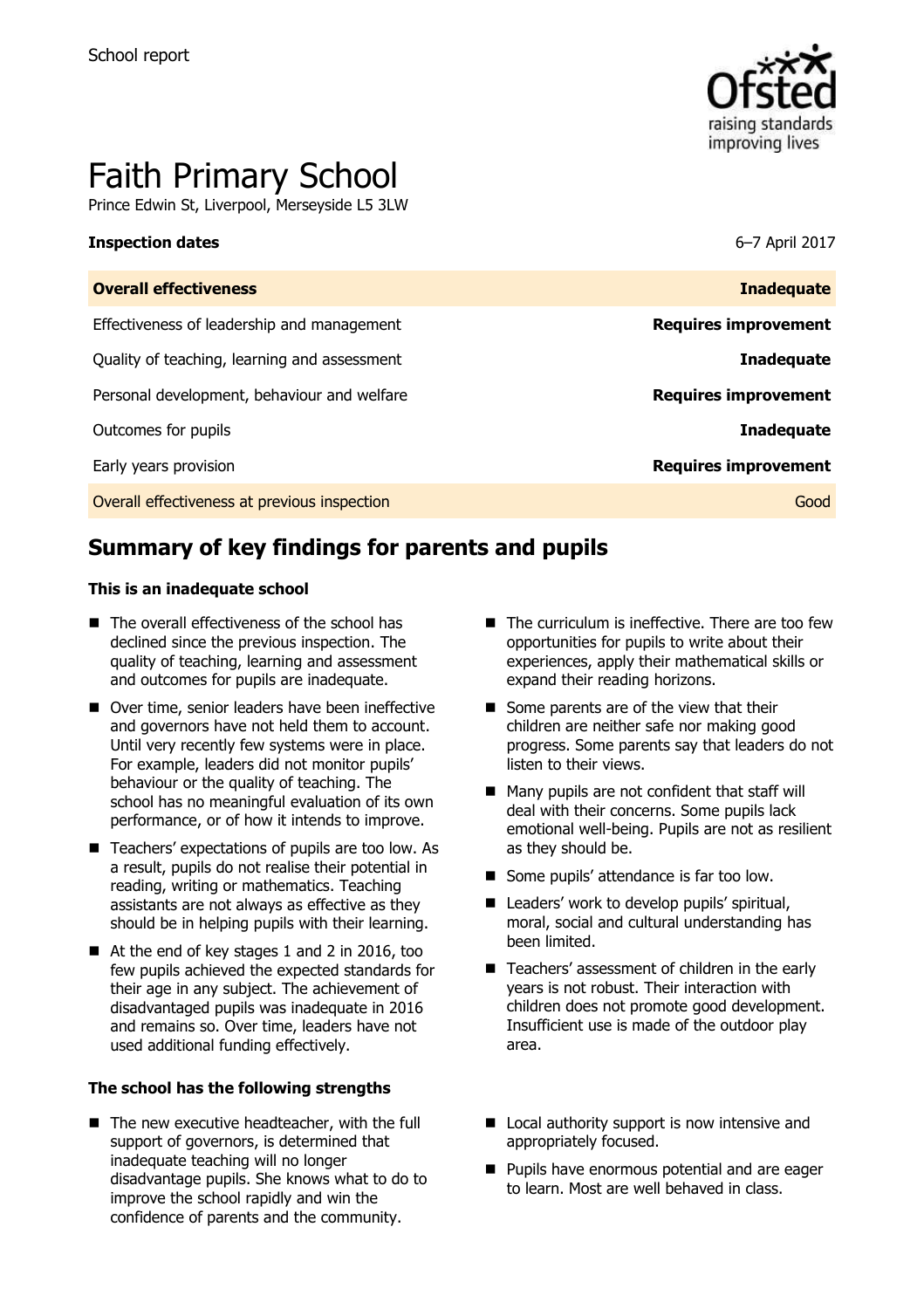

# Faith Primary School

Prince Edwin St, Liverpool, Merseyside L5 3LW

#### **Inspection dates** 6–7 April 2017

| <b>Overall effectiveness</b>                 | <b>Inadequate</b>           |
|----------------------------------------------|-----------------------------|
| Effectiveness of leadership and management   | <b>Requires improvement</b> |
| Quality of teaching, learning and assessment | <b>Inadequate</b>           |
| Personal development, behaviour and welfare  | <b>Requires improvement</b> |
| Outcomes for pupils                          | <b>Inadequate</b>           |
| Early years provision                        | <b>Requires improvement</b> |
| Overall effectiveness at previous inspection | Good                        |

# **Summary of key findings for parents and pupils**

#### **This is an inadequate school**

- The overall effectiveness of the school has declined since the previous inspection. The quality of teaching, learning and assessment and outcomes for pupils are inadequate.
- Over time, senior leaders have been ineffective and governors have not held them to account. Until very recently few systems were in place. For example, leaders did not monitor pupils' behaviour or the quality of teaching. The school has no meaningful evaluation of its own performance, or of how it intends to improve.
- Teachers' expectations of pupils are too low. As a result, pupils do not realise their potential in reading, writing or mathematics. Teaching assistants are not always as effective as they should be in helping pupils with their learning.
- At the end of key stages 1 and 2 in 2016, too few pupils achieved the expected standards for their age in any subject. The achievement of disadvantaged pupils was inadequate in 2016 and remains so. Over time, leaders have not used additional funding effectively.

#### **The school has the following strengths**

The new executive headteacher, with the full support of governors, is determined that inadequate teaching will no longer disadvantage pupils. She knows what to do to improve the school rapidly and win the confidence of parents and the community.

- $\blacksquare$  The curriculum is ineffective. There are too few opportunities for pupils to write about their experiences, apply their mathematical skills or expand their reading horizons.
- Some parents are of the view that their children are neither safe nor making good progress. Some parents say that leaders do not listen to their views.
- Many pupils are not confident that staff will deal with their concerns. Some pupils lack emotional well-being. Pupils are not as resilient as they should be.
- Some pupils' attendance is far too low.
- Leaders' work to develop pupils' spiritual, moral, social and cultural understanding has been limited.
- Teachers' assessment of children in the early years is not robust. Their interaction with children does not promote good development. Insufficient use is made of the outdoor play area.
- Local authority support is now intensive and appropriately focused.
- **Pupils have enormous potential and are eager** to learn. Most are well behaved in class.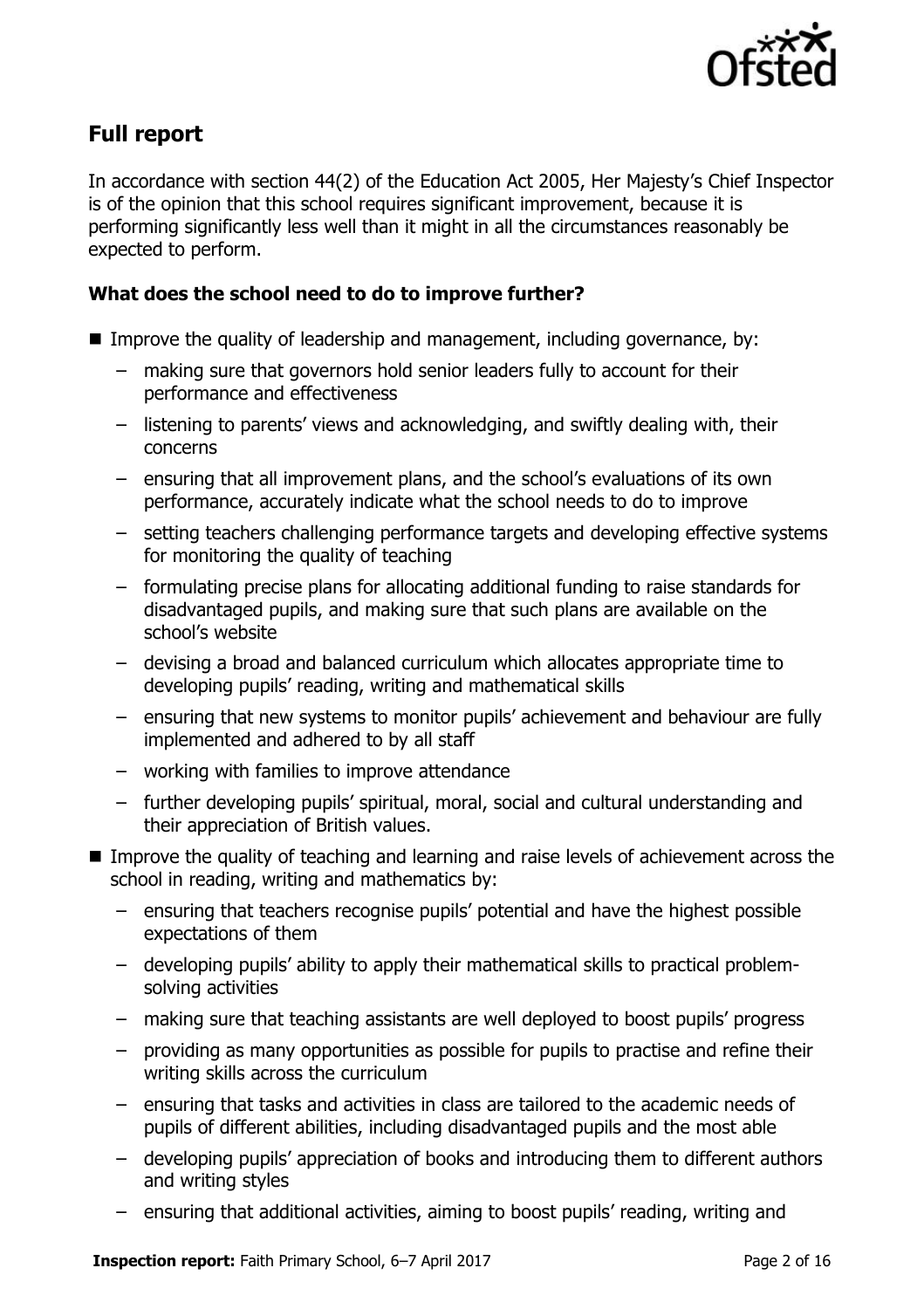

# **Full report**

In accordance with section 44(2) of the Education Act 2005, Her Majesty's Chief Inspector is of the opinion that this school requires significant improvement, because it is performing significantly less well than it might in all the circumstances reasonably be expected to perform.

### **What does the school need to do to improve further?**

- **I** Improve the quality of leadership and management, including governance, by:
	- making sure that governors hold senior leaders fully to account for their performance and effectiveness
	- listening to parents' views and acknowledging, and swiftly dealing with, their concerns
	- ensuring that all improvement plans, and the school's evaluations of its own performance, accurately indicate what the school needs to do to improve
	- setting teachers challenging performance targets and developing effective systems for monitoring the quality of teaching
	- formulating precise plans for allocating additional funding to raise standards for disadvantaged pupils, and making sure that such plans are available on the school's website
	- devising a broad and balanced curriculum which allocates appropriate time to developing pupils' reading, writing and mathematical skills
	- ensuring that new systems to monitor pupils' achievement and behaviour are fully implemented and adhered to by all staff
	- working with families to improve attendance
	- further developing pupils' spiritual, moral, social and cultural understanding and their appreciation of British values.
- Improve the quality of teaching and learning and raise levels of achievement across the school in reading, writing and mathematics by:
	- ensuring that teachers recognise pupils' potential and have the highest possible expectations of them
	- developing pupils' ability to apply their mathematical skills to practical problemsolving activities
	- making sure that teaching assistants are well deployed to boost pupils' progress
	- providing as many opportunities as possible for pupils to practise and refine their writing skills across the curriculum
	- ensuring that tasks and activities in class are tailored to the academic needs of pupils of different abilities, including disadvantaged pupils and the most able
	- developing pupils' appreciation of books and introducing them to different authors and writing styles
	- ensuring that additional activities, aiming to boost pupils' reading, writing and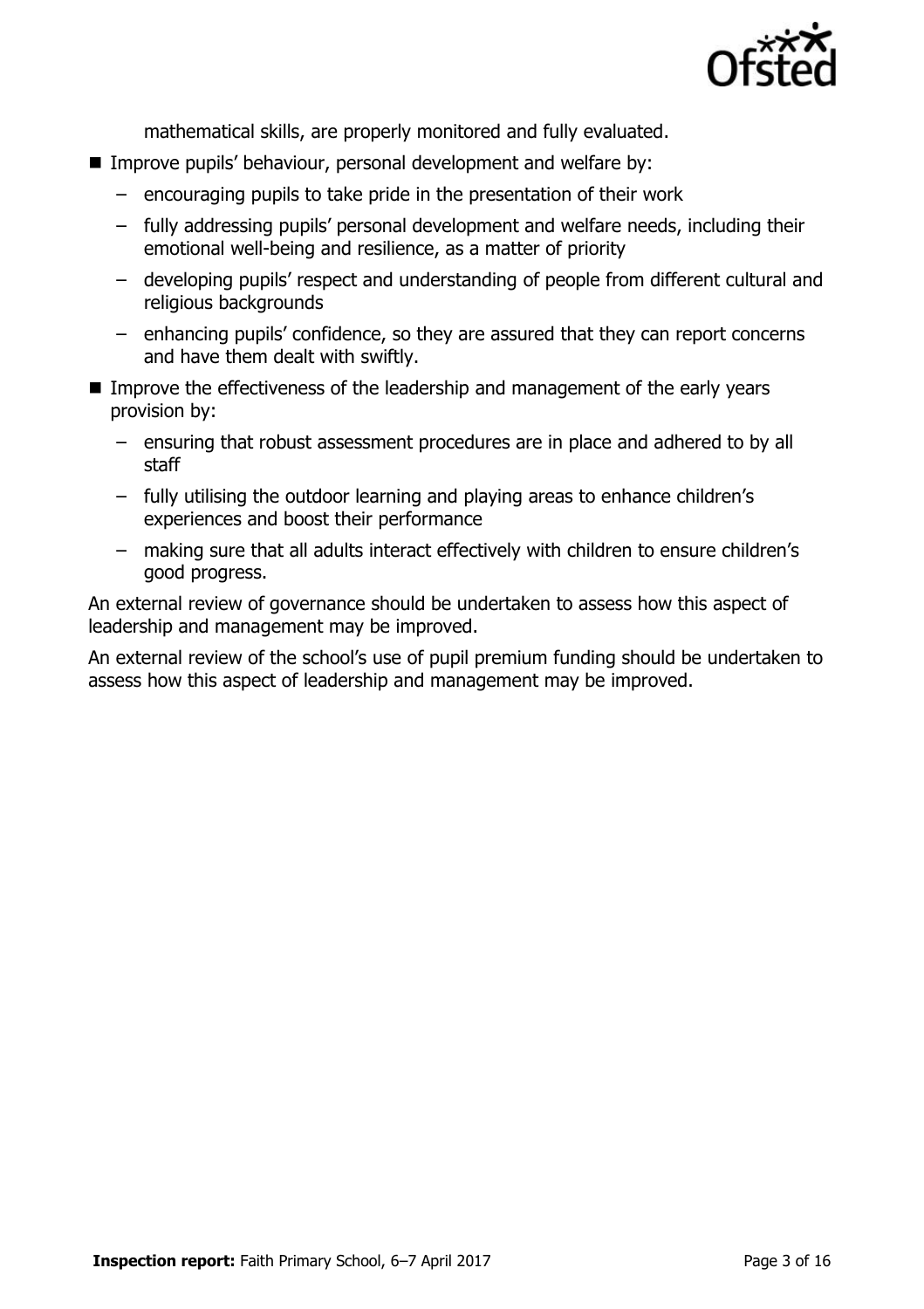

mathematical skills, are properly monitored and fully evaluated.

- **IMPROVE PUPILS' behaviour, personal development and welfare by:** 
	- encouraging pupils to take pride in the presentation of their work
	- fully addressing pupils' personal development and welfare needs, including their emotional well-being and resilience, as a matter of priority
	- developing pupils' respect and understanding of people from different cultural and religious backgrounds
	- enhancing pupils' confidence, so they are assured that they can report concerns and have them dealt with swiftly.
- Improve the effectiveness of the leadership and management of the early vears provision by:
	- ensuring that robust assessment procedures are in place and adhered to by all staff
	- fully utilising the outdoor learning and playing areas to enhance children's experiences and boost their performance
	- making sure that all adults interact effectively with children to ensure children's good progress.

An external review of governance should be undertaken to assess how this aspect of leadership and management may be improved.

An external review of the school's use of pupil premium funding should be undertaken to assess how this aspect of leadership and management may be improved.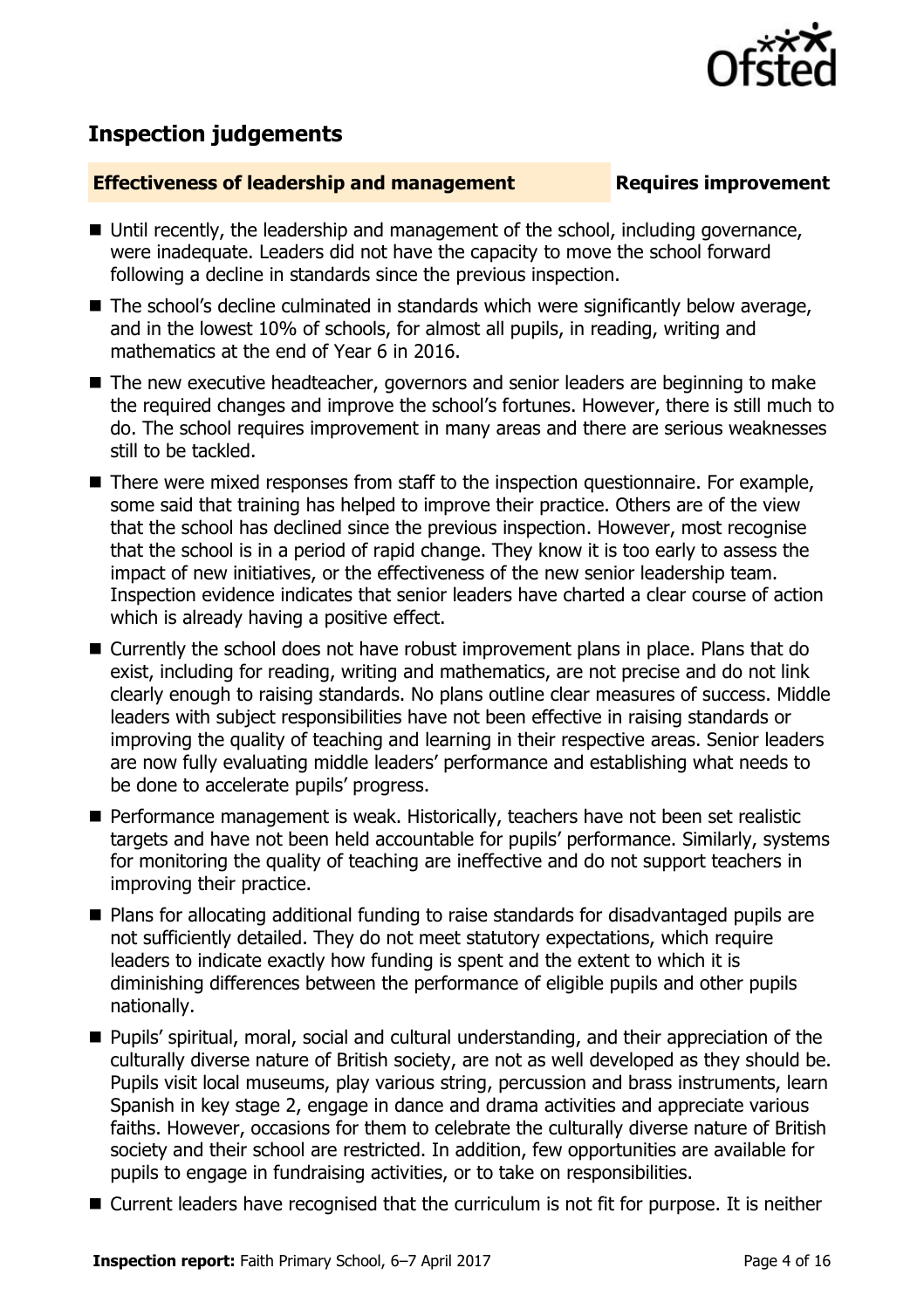

# **Inspection judgements**

#### **Effectiveness of leadership and management Requires improvement**

- Until recently, the leadership and management of the school, including governance, were inadequate. Leaders did not have the capacity to move the school forward following a decline in standards since the previous inspection.
- The school's decline culminated in standards which were significantly below average, and in the lowest 10% of schools, for almost all pupils, in reading, writing and mathematics at the end of Year 6 in 2016.
- The new executive headteacher, governors and senior leaders are beginning to make the required changes and improve the school's fortunes. However, there is still much to do. The school requires improvement in many areas and there are serious weaknesses still to be tackled.
- There were mixed responses from staff to the inspection questionnaire. For example, some said that training has helped to improve their practice. Others are of the view that the school has declined since the previous inspection. However, most recognise that the school is in a period of rapid change. They know it is too early to assess the impact of new initiatives, or the effectiveness of the new senior leadership team. Inspection evidence indicates that senior leaders have charted a clear course of action which is already having a positive effect.
- Currently the school does not have robust improvement plans in place. Plans that do exist, including for reading, writing and mathematics, are not precise and do not link clearly enough to raising standards. No plans outline clear measures of success. Middle leaders with subject responsibilities have not been effective in raising standards or improving the quality of teaching and learning in their respective areas. Senior leaders are now fully evaluating middle leaders' performance and establishing what needs to be done to accelerate pupils' progress.
- Performance management is weak. Historically, teachers have not been set realistic targets and have not been held accountable for pupils' performance. Similarly, systems for monitoring the quality of teaching are ineffective and do not support teachers in improving their practice.
- Plans for allocating additional funding to raise standards for disadvantaged pupils are not sufficiently detailed. They do not meet statutory expectations, which require leaders to indicate exactly how funding is spent and the extent to which it is diminishing differences between the performance of eligible pupils and other pupils nationally.
- Pupils' spiritual, moral, social and cultural understanding, and their appreciation of the culturally diverse nature of British society, are not as well developed as they should be. Pupils visit local museums, play various string, percussion and brass instruments, learn Spanish in key stage 2, engage in dance and drama activities and appreciate various faiths. However, occasions for them to celebrate the culturally diverse nature of British society and their school are restricted. In addition, few opportunities are available for pupils to engage in fundraising activities, or to take on responsibilities.
- Current leaders have recognised that the curriculum is not fit for purpose. It is neither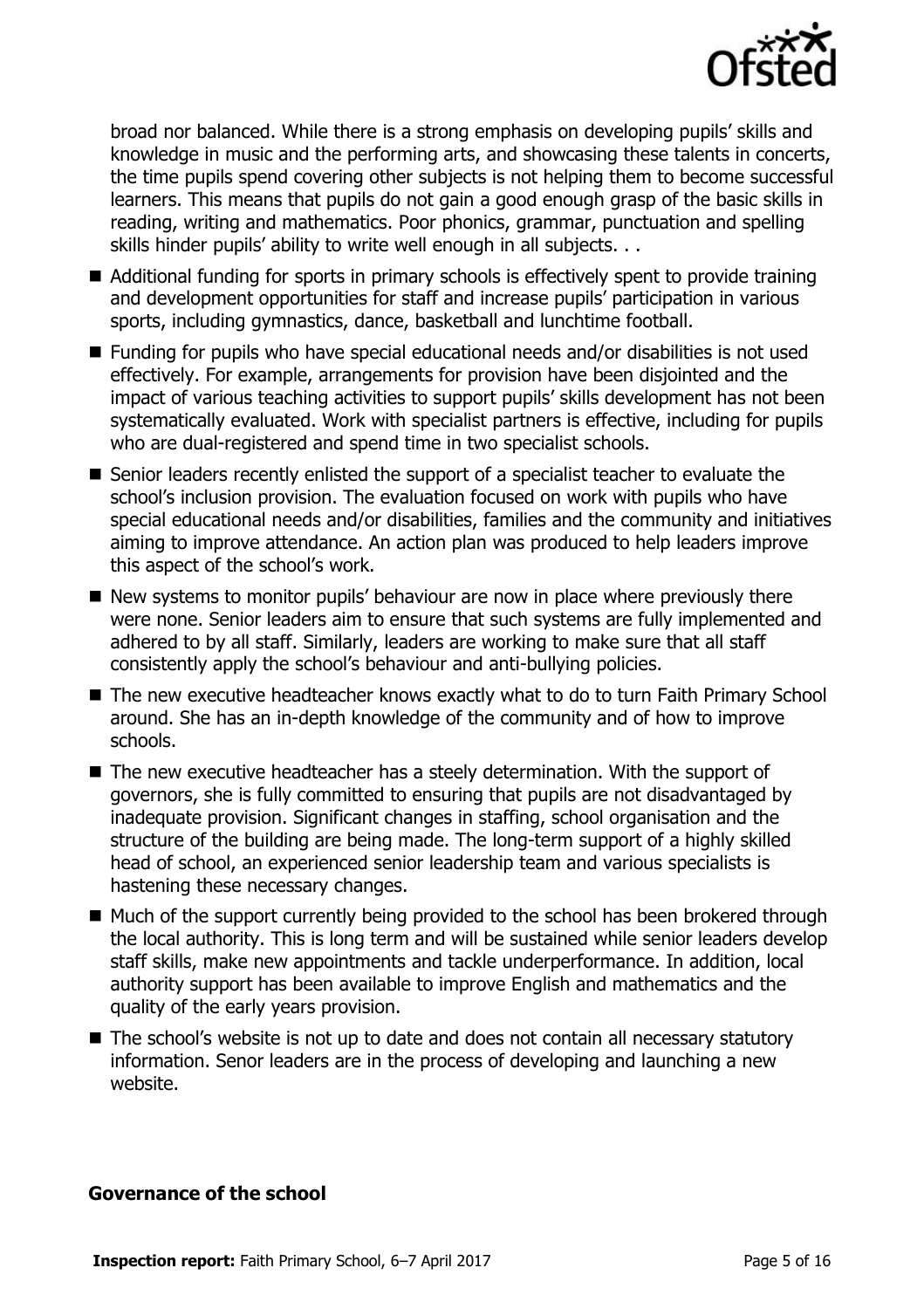

broad nor balanced. While there is a strong emphasis on developing pupils' skills and knowledge in music and the performing arts, and showcasing these talents in concerts, the time pupils spend covering other subjects is not helping them to become successful learners. This means that pupils do not gain a good enough grasp of the basic skills in reading, writing and mathematics. Poor phonics, grammar, punctuation and spelling skills hinder pupils' ability to write well enough in all subjects. . .

- Additional funding for sports in primary schools is effectively spent to provide training and development opportunities for staff and increase pupils' participation in various sports, including gymnastics, dance, basketball and lunchtime football.
- Funding for pupils who have special educational needs and/or disabilities is not used effectively. For example, arrangements for provision have been disjointed and the impact of various teaching activities to support pupils' skills development has not been systematically evaluated. Work with specialist partners is effective, including for pupils who are dual-registered and spend time in two specialist schools.
- Senior leaders recently enlisted the support of a specialist teacher to evaluate the school's inclusion provision. The evaluation focused on work with pupils who have special educational needs and/or disabilities, families and the community and initiatives aiming to improve attendance. An action plan was produced to help leaders improve this aspect of the school's work.
- New systems to monitor pupils' behaviour are now in place where previously there were none. Senior leaders aim to ensure that such systems are fully implemented and adhered to by all staff. Similarly, leaders are working to make sure that all staff consistently apply the school's behaviour and anti-bullying policies.
- The new executive headteacher knows exactly what to do to turn Faith Primary School around. She has an in-depth knowledge of the community and of how to improve schools.
- The new executive headteacher has a steely determination. With the support of governors, she is fully committed to ensuring that pupils are not disadvantaged by inadequate provision. Significant changes in staffing, school organisation and the structure of the building are being made. The long-term support of a highly skilled head of school, an experienced senior leadership team and various specialists is hastening these necessary changes.
- Much of the support currently being provided to the school has been brokered through the local authority. This is long term and will be sustained while senior leaders develop staff skills, make new appointments and tackle underperformance. In addition, local authority support has been available to improve English and mathematics and the quality of the early years provision.
- The school's website is not up to date and does not contain all necessary statutory information. Senor leaders are in the process of developing and launching a new website.

#### **Governance of the school**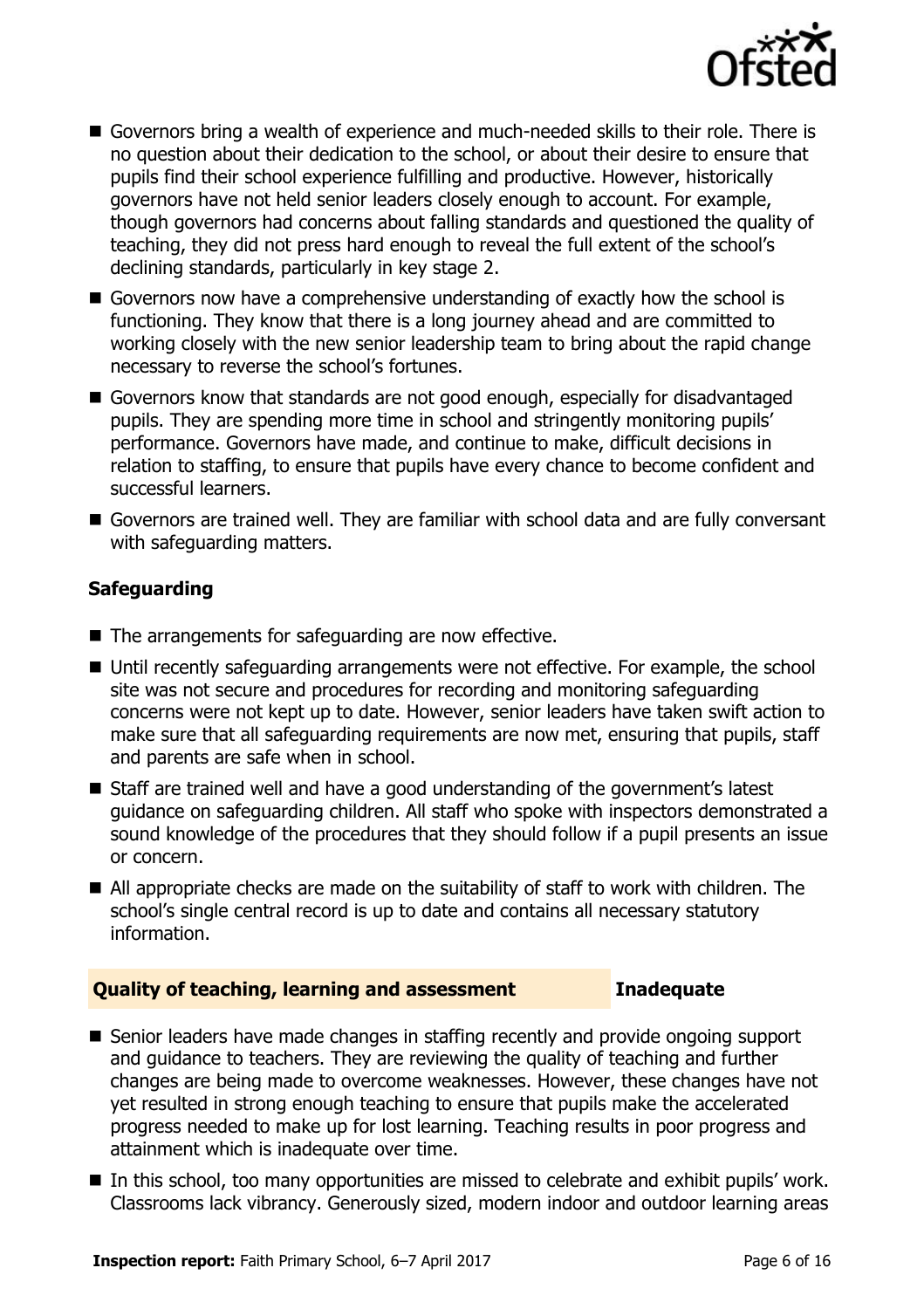

- Governors bring a wealth of experience and much-needed skills to their role. There is no question about their dedication to the school, or about their desire to ensure that pupils find their school experience fulfilling and productive. However, historically governors have not held senior leaders closely enough to account. For example, though governors had concerns about falling standards and questioned the quality of teaching, they did not press hard enough to reveal the full extent of the school's declining standards, particularly in key stage 2.
- Governors now have a comprehensive understanding of exactly how the school is functioning. They know that there is a long journey ahead and are committed to working closely with the new senior leadership team to bring about the rapid change necessary to reverse the school's fortunes.
- Governors know that standards are not good enough, especially for disadvantaged pupils. They are spending more time in school and stringently monitoring pupils' performance. Governors have made, and continue to make, difficult decisions in relation to staffing, to ensure that pupils have every chance to become confident and successful learners.
- Governors are trained well. They are familiar with school data and are fully conversant with safeguarding matters.

### **Safeguarding**

- The arrangements for safeguarding are now effective.
- Until recently safeguarding arrangements were not effective. For example, the school site was not secure and procedures for recording and monitoring safeguarding concerns were not kept up to date. However, senior leaders have taken swift action to make sure that all safeguarding requirements are now met, ensuring that pupils, staff and parents are safe when in school.
- Staff are trained well and have a good understanding of the government's latest guidance on safeguarding children. All staff who spoke with inspectors demonstrated a sound knowledge of the procedures that they should follow if a pupil presents an issue or concern.
- All appropriate checks are made on the suitability of staff to work with children. The school's single central record is up to date and contains all necessary statutory information.

### **Quality of teaching, learning and assessment Inadequate**

- Senior leaders have made changes in staffing recently and provide ongoing support and guidance to teachers. They are reviewing the quality of teaching and further changes are being made to overcome weaknesses. However, these changes have not yet resulted in strong enough teaching to ensure that pupils make the accelerated progress needed to make up for lost learning. Teaching results in poor progress and attainment which is inadequate over time.
- In this school, too many opportunities are missed to celebrate and exhibit pupils' work. Classrooms lack vibrancy. Generously sized, modern indoor and outdoor learning areas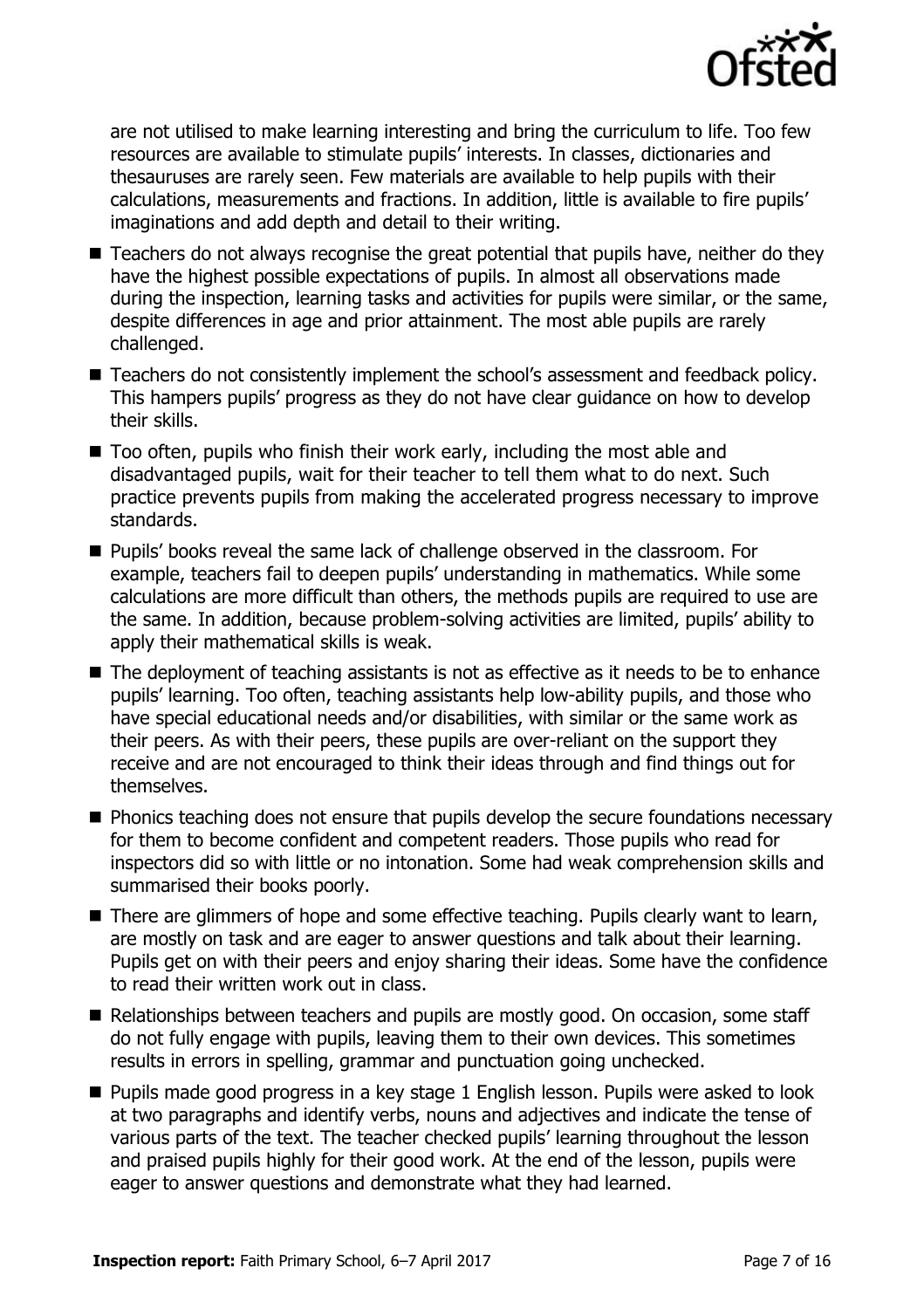

are not utilised to make learning interesting and bring the curriculum to life. Too few resources are available to stimulate pupils' interests. In classes, dictionaries and thesauruses are rarely seen. Few materials are available to help pupils with their calculations, measurements and fractions. In addition, little is available to fire pupils' imaginations and add depth and detail to their writing.

- Teachers do not always recognise the great potential that pupils have, neither do they have the highest possible expectations of pupils. In almost all observations made during the inspection, learning tasks and activities for pupils were similar, or the same, despite differences in age and prior attainment. The most able pupils are rarely challenged.
- Teachers do not consistently implement the school's assessment and feedback policy. This hampers pupils' progress as they do not have clear guidance on how to develop their skills.
- Too often, pupils who finish their work early, including the most able and disadvantaged pupils, wait for their teacher to tell them what to do next. Such practice prevents pupils from making the accelerated progress necessary to improve standards.
- **Pupils' books reveal the same lack of challenge observed in the classroom. For** example, teachers fail to deepen pupils' understanding in mathematics. While some calculations are more difficult than others, the methods pupils are required to use are the same. In addition, because problem-solving activities are limited, pupils' ability to apply their mathematical skills is weak.
- The deployment of teaching assistants is not as effective as it needs to be to enhance pupils' learning. Too often, teaching assistants help low-ability pupils, and those who have special educational needs and/or disabilities, with similar or the same work as their peers. As with their peers, these pupils are over-reliant on the support they receive and are not encouraged to think their ideas through and find things out for themselves.
- **Phonics teaching does not ensure that pupils develop the secure foundations necessary** for them to become confident and competent readers. Those pupils who read for inspectors did so with little or no intonation. Some had weak comprehension skills and summarised their books poorly.
- There are glimmers of hope and some effective teaching. Pupils clearly want to learn, are mostly on task and are eager to answer questions and talk about their learning. Pupils get on with their peers and enjoy sharing their ideas. Some have the confidence to read their written work out in class.
- Relationships between teachers and pupils are mostly good. On occasion, some staff do not fully engage with pupils, leaving them to their own devices. This sometimes results in errors in spelling, grammar and punctuation going unchecked.
- **Pupils made good progress in a key stage 1 English lesson. Pupils were asked to look** at two paragraphs and identify verbs, nouns and adjectives and indicate the tense of various parts of the text. The teacher checked pupils' learning throughout the lesson and praised pupils highly for their good work. At the end of the lesson, pupils were eager to answer questions and demonstrate what they had learned.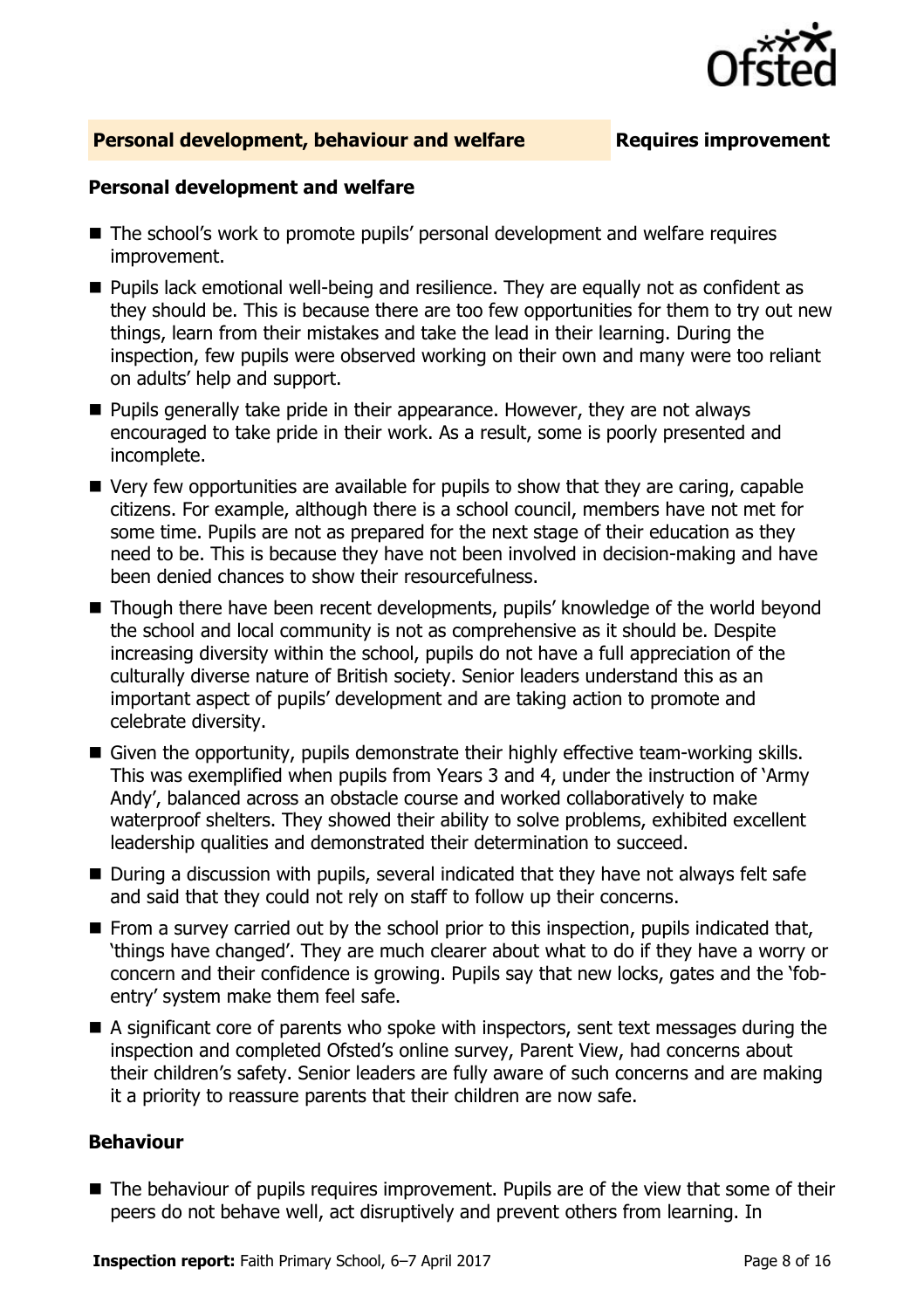

#### **Personal development, behaviour and welfare <b>Requires improvement**

#### **Personal development and welfare**

- The school's work to promote pupils' personal development and welfare requires improvement.
- **Pupils lack emotional well-being and resilience. They are equally not as confident as** they should be. This is because there are too few opportunities for them to try out new things, learn from their mistakes and take the lead in their learning. During the inspection, few pupils were observed working on their own and many were too reliant on adults' help and support.
- **Pupils generally take pride in their appearance. However, they are not always** encouraged to take pride in their work. As a result, some is poorly presented and incomplete.
- Very few opportunities are available for pupils to show that they are caring, capable citizens. For example, although there is a school council, members have not met for some time. Pupils are not as prepared for the next stage of their education as they need to be. This is because they have not been involved in decision-making and have been denied chances to show their resourcefulness.
- Though there have been recent developments, pupils' knowledge of the world beyond the school and local community is not as comprehensive as it should be. Despite increasing diversity within the school, pupils do not have a full appreciation of the culturally diverse nature of British society. Senior leaders understand this as an important aspect of pupils' development and are taking action to promote and celebrate diversity.
- Given the opportunity, pupils demonstrate their highly effective team-working skills. This was exemplified when pupils from Years 3 and 4, under the instruction of 'Army Andy', balanced across an obstacle course and worked collaboratively to make waterproof shelters. They showed their ability to solve problems, exhibited excellent leadership qualities and demonstrated their determination to succeed.
- During a discussion with pupils, several indicated that they have not always felt safe and said that they could not rely on staff to follow up their concerns.
- From a survey carried out by the school prior to this inspection, pupils indicated that, 'things have changed'. They are much clearer about what to do if they have a worry or concern and their confidence is growing. Pupils say that new locks, gates and the 'fobentry' system make them feel safe.
- A significant core of parents who spoke with inspectors, sent text messages during the inspection and completed Ofsted's online survey, Parent View, had concerns about their children's safety. Senior leaders are fully aware of such concerns and are making it a priority to reassure parents that their children are now safe.

#### **Behaviour**

The behaviour of pupils requires improvement. Pupils are of the view that some of their peers do not behave well, act disruptively and prevent others from learning. In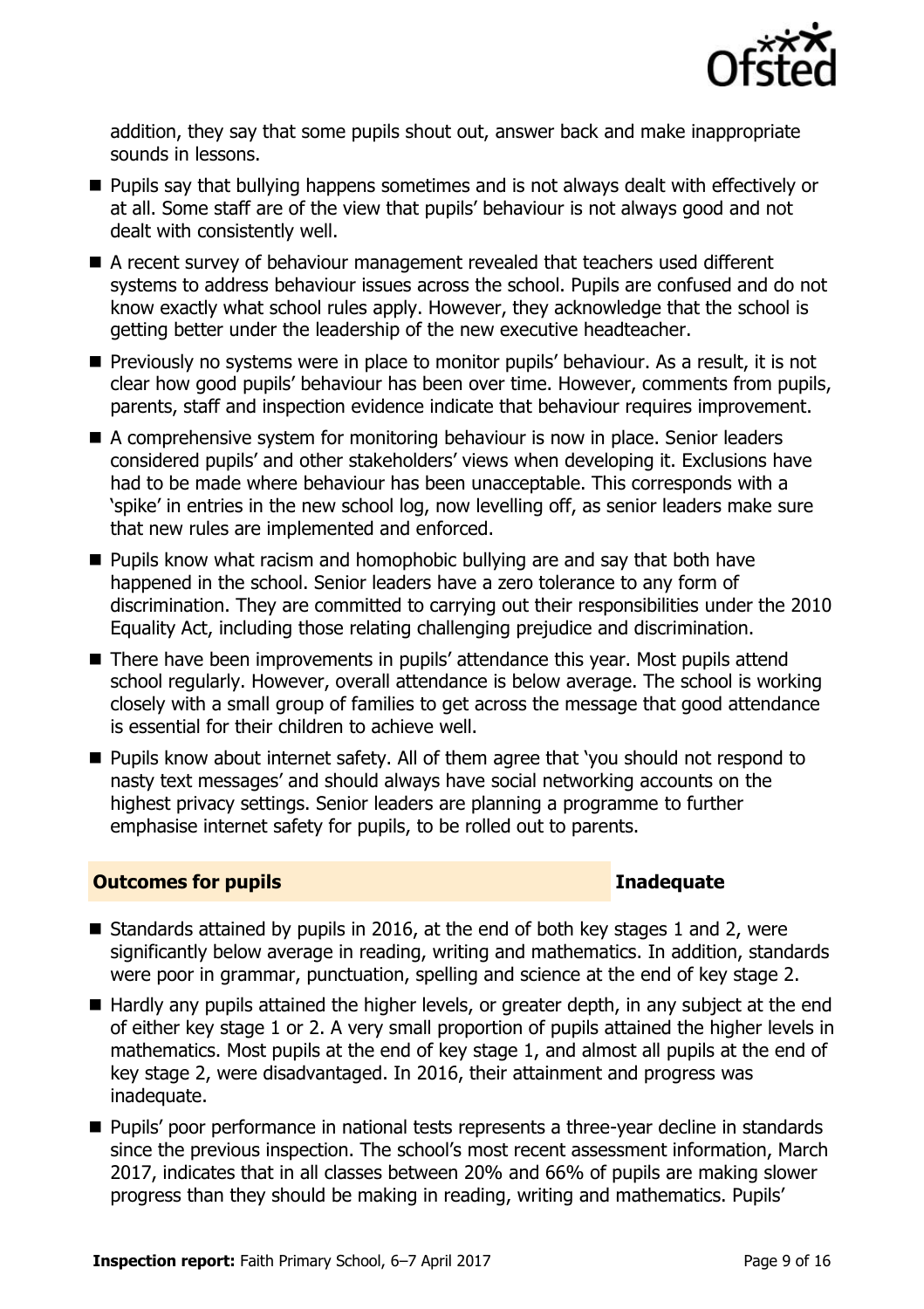

addition, they say that some pupils shout out, answer back and make inappropriate sounds in lessons.

- **Pupils say that bullying happens sometimes and is not always dealt with effectively or** at all. Some staff are of the view that pupils' behaviour is not always good and not dealt with consistently well.
- A recent survey of behaviour management revealed that teachers used different systems to address behaviour issues across the school. Pupils are confused and do not know exactly what school rules apply. However, they acknowledge that the school is getting better under the leadership of the new executive headteacher.
- **Previously no systems were in place to monitor pupils' behaviour. As a result, it is not** clear how good pupils' behaviour has been over time. However, comments from pupils, parents, staff and inspection evidence indicate that behaviour requires improvement.
- A comprehensive system for monitoring behaviour is now in place. Senior leaders considered pupils' and other stakeholders' views when developing it. Exclusions have had to be made where behaviour has been unacceptable. This corresponds with a 'spike' in entries in the new school log, now levelling off, as senior leaders make sure that new rules are implemented and enforced.
- **Pupils know what racism and homophobic bullying are and say that both have** happened in the school. Senior leaders have a zero tolerance to any form of discrimination. They are committed to carrying out their responsibilities under the 2010 Equality Act, including those relating challenging prejudice and discrimination.
- There have been improvements in pupils' attendance this year. Most pupils attend school regularly. However, overall attendance is below average. The school is working closely with a small group of families to get across the message that good attendance is essential for their children to achieve well.
- Pupils know about internet safety. All of them agree that 'you should not respond to nasty text messages' and should always have social networking accounts on the highest privacy settings. Senior leaders are planning a programme to further emphasise internet safety for pupils, to be rolled out to parents.

### **Outcomes for pupils Inadequate**

- Standards attained by pupils in 2016, at the end of both key stages 1 and 2, were significantly below average in reading, writing and mathematics. In addition, standards were poor in grammar, punctuation, spelling and science at the end of key stage 2.
- Hardly any pupils attained the higher levels, or greater depth, in any subject at the end of either key stage 1 or 2. A very small proportion of pupils attained the higher levels in mathematics. Most pupils at the end of key stage 1, and almost all pupils at the end of key stage 2, were disadvantaged. In 2016, their attainment and progress was inadequate.
- **Pupils' poor performance in national tests represents a three-vear decline in standards** since the previous inspection. The school's most recent assessment information, March 2017, indicates that in all classes between 20% and 66% of pupils are making slower progress than they should be making in reading, writing and mathematics. Pupils'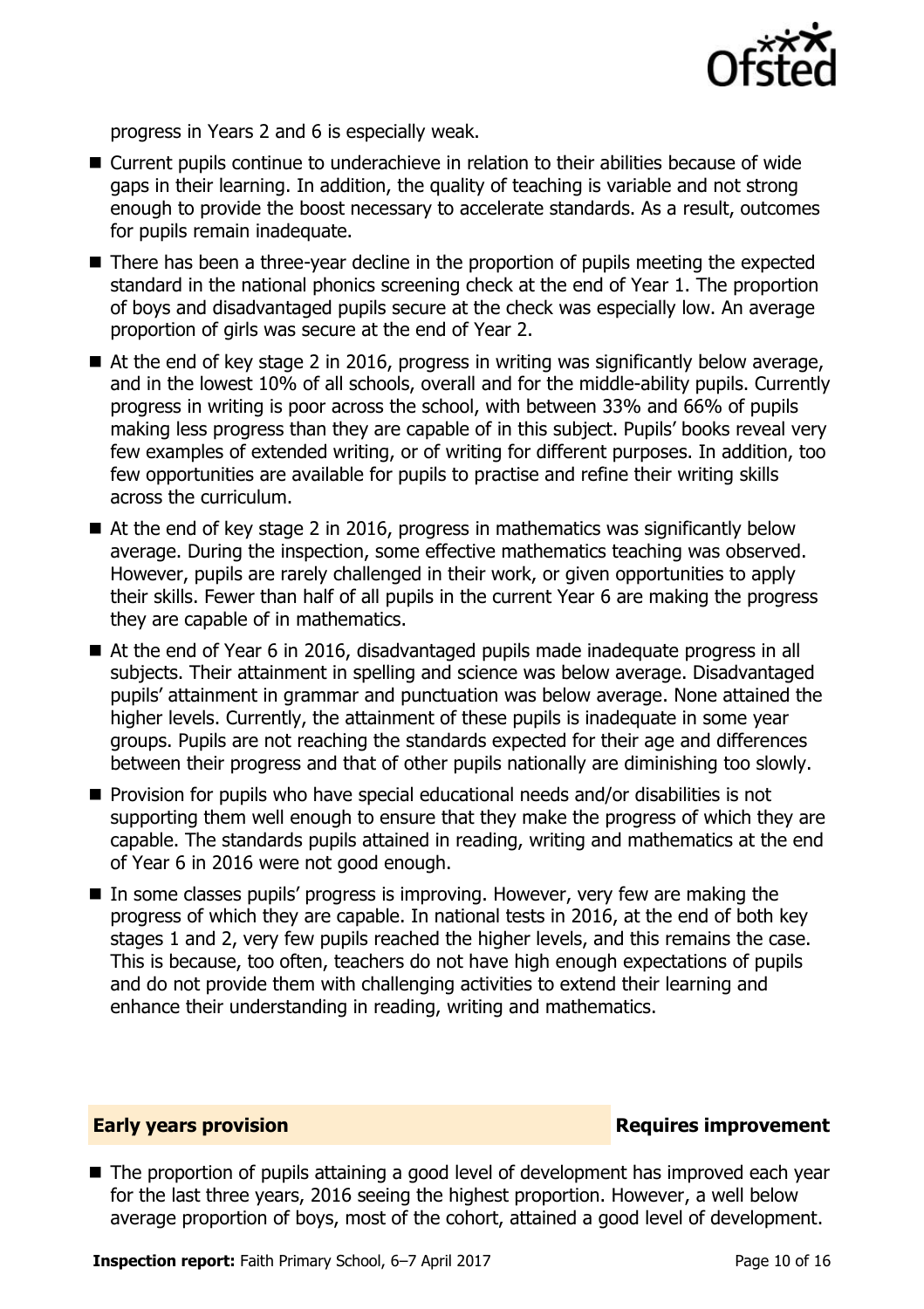

progress in Years 2 and 6 is especially weak.

- Current pupils continue to underachieve in relation to their abilities because of wide gaps in their learning. In addition, the quality of teaching is variable and not strong enough to provide the boost necessary to accelerate standards. As a result, outcomes for pupils remain inadequate.
- There has been a three-year decline in the proportion of pupils meeting the expected standard in the national phonics screening check at the end of Year 1. The proportion of boys and disadvantaged pupils secure at the check was especially low. An average proportion of girls was secure at the end of Year 2.
- At the end of key stage 2 in 2016, progress in writing was significantly below average, and in the lowest 10% of all schools, overall and for the middle-ability pupils. Currently progress in writing is poor across the school, with between 33% and 66% of pupils making less progress than they are capable of in this subject. Pupils' books reveal very few examples of extended writing, or of writing for different purposes. In addition, too few opportunities are available for pupils to practise and refine their writing skills across the curriculum.
- At the end of key stage 2 in 2016, progress in mathematics was significantly below average. During the inspection, some effective mathematics teaching was observed. However, pupils are rarely challenged in their work, or given opportunities to apply their skills. Fewer than half of all pupils in the current Year 6 are making the progress they are capable of in mathematics.
- At the end of Year 6 in 2016, disadvantaged pupils made inadequate progress in all subjects. Their attainment in spelling and science was below average. Disadvantaged pupils' attainment in grammar and punctuation was below average. None attained the higher levels. Currently, the attainment of these pupils is inadequate in some year groups. Pupils are not reaching the standards expected for their age and differences between their progress and that of other pupils nationally are diminishing too slowly.
- **Provision for pupils who have special educational needs and/or disabilities is not** supporting them well enough to ensure that they make the progress of which they are capable. The standards pupils attained in reading, writing and mathematics at the end of Year 6 in 2016 were not good enough.
- $\blacksquare$  In some classes pupils' progress is improving. However, very few are making the progress of which they are capable. In national tests in 2016, at the end of both key stages 1 and 2, very few pupils reached the higher levels, and this remains the case. This is because, too often, teachers do not have high enough expectations of pupils and do not provide them with challenging activities to extend their learning and enhance their understanding in reading, writing and mathematics.

### **Early years provision**

■ The proportion of pupils attaining a good level of development has improved each vear for the last three years, 2016 seeing the highest proportion. However, a well below average proportion of boys, most of the cohort, attained a good level of development.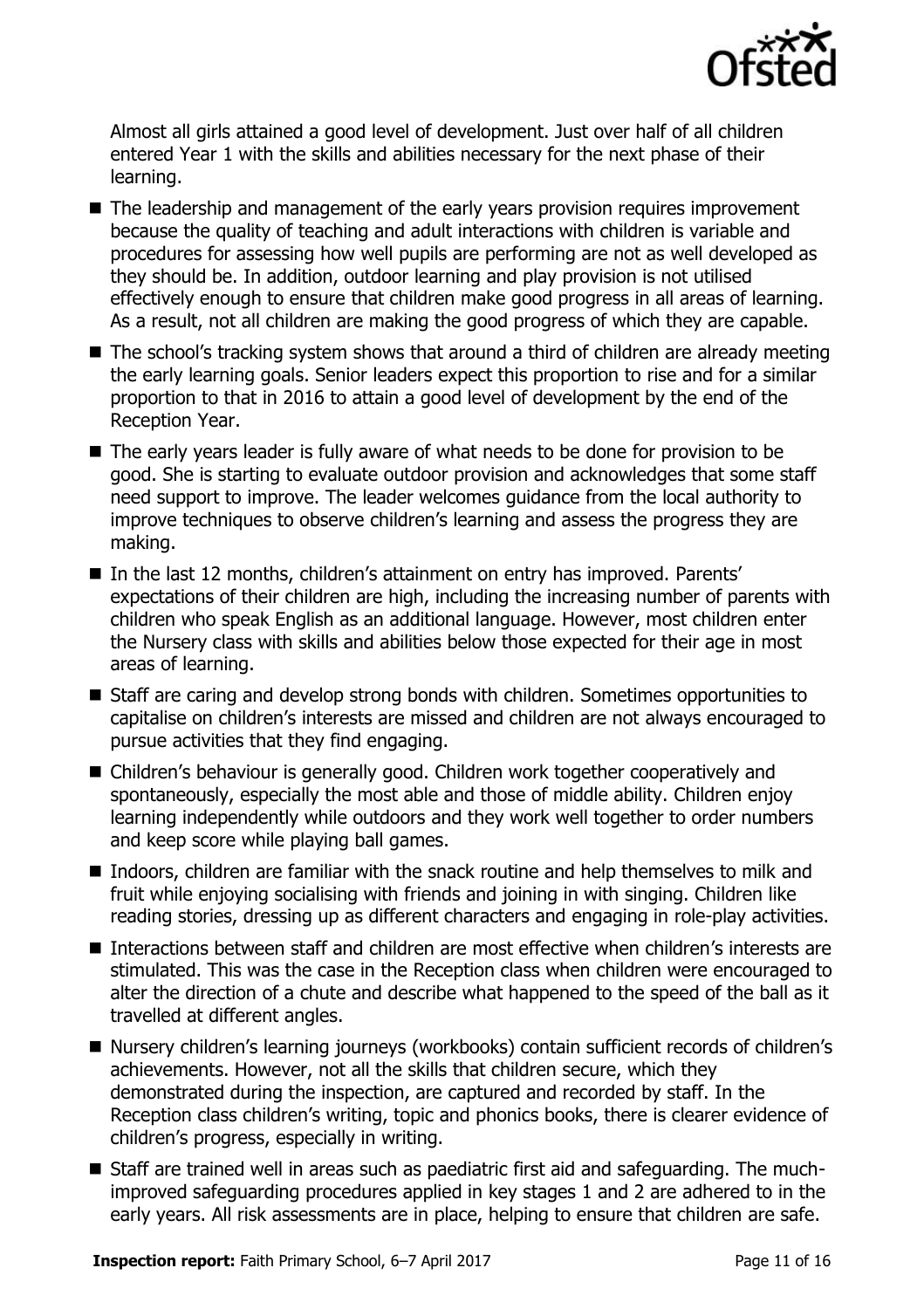

Almost all girls attained a good level of development. Just over half of all children entered Year 1 with the skills and abilities necessary for the next phase of their learning.

- The leadership and management of the early years provision requires improvement because the quality of teaching and adult interactions with children is variable and procedures for assessing how well pupils are performing are not as well developed as they should be. In addition, outdoor learning and play provision is not utilised effectively enough to ensure that children make good progress in all areas of learning. As a result, not all children are making the good progress of which they are capable.
- The school's tracking system shows that around a third of children are already meeting the early learning goals. Senior leaders expect this proportion to rise and for a similar proportion to that in 2016 to attain a good level of development by the end of the Reception Year.
- The early years leader is fully aware of what needs to be done for provision to be good. She is starting to evaluate outdoor provision and acknowledges that some staff need support to improve. The leader welcomes guidance from the local authority to improve techniques to observe children's learning and assess the progress they are making.
- In the last 12 months, children's attainment on entry has improved. Parents' expectations of their children are high, including the increasing number of parents with children who speak English as an additional language. However, most children enter the Nursery class with skills and abilities below those expected for their age in most areas of learning.
- Staff are caring and develop strong bonds with children. Sometimes opportunities to capitalise on children's interests are missed and children are not always encouraged to pursue activities that they find engaging.
- Children's behaviour is generally good. Children work together cooperatively and spontaneously, especially the most able and those of middle ability. Children enjoy learning independently while outdoors and they work well together to order numbers and keep score while playing ball games.
- Indoors, children are familiar with the snack routine and help themselves to milk and fruit while enjoying socialising with friends and joining in with singing. Children like reading stories, dressing up as different characters and engaging in role-play activities.
- Interactions between staff and children are most effective when children's interests are stimulated. This was the case in the Reception class when children were encouraged to alter the direction of a chute and describe what happened to the speed of the ball as it travelled at different angles.
- Nursery children's learning journeys (workbooks) contain sufficient records of children's achievements. However, not all the skills that children secure, which they demonstrated during the inspection, are captured and recorded by staff. In the Reception class children's writing, topic and phonics books, there is clearer evidence of children's progress, especially in writing.
- Staff are trained well in areas such as paediatric first aid and safeguarding. The muchimproved safeguarding procedures applied in key stages 1 and 2 are adhered to in the early years. All risk assessments are in place, helping to ensure that children are safe.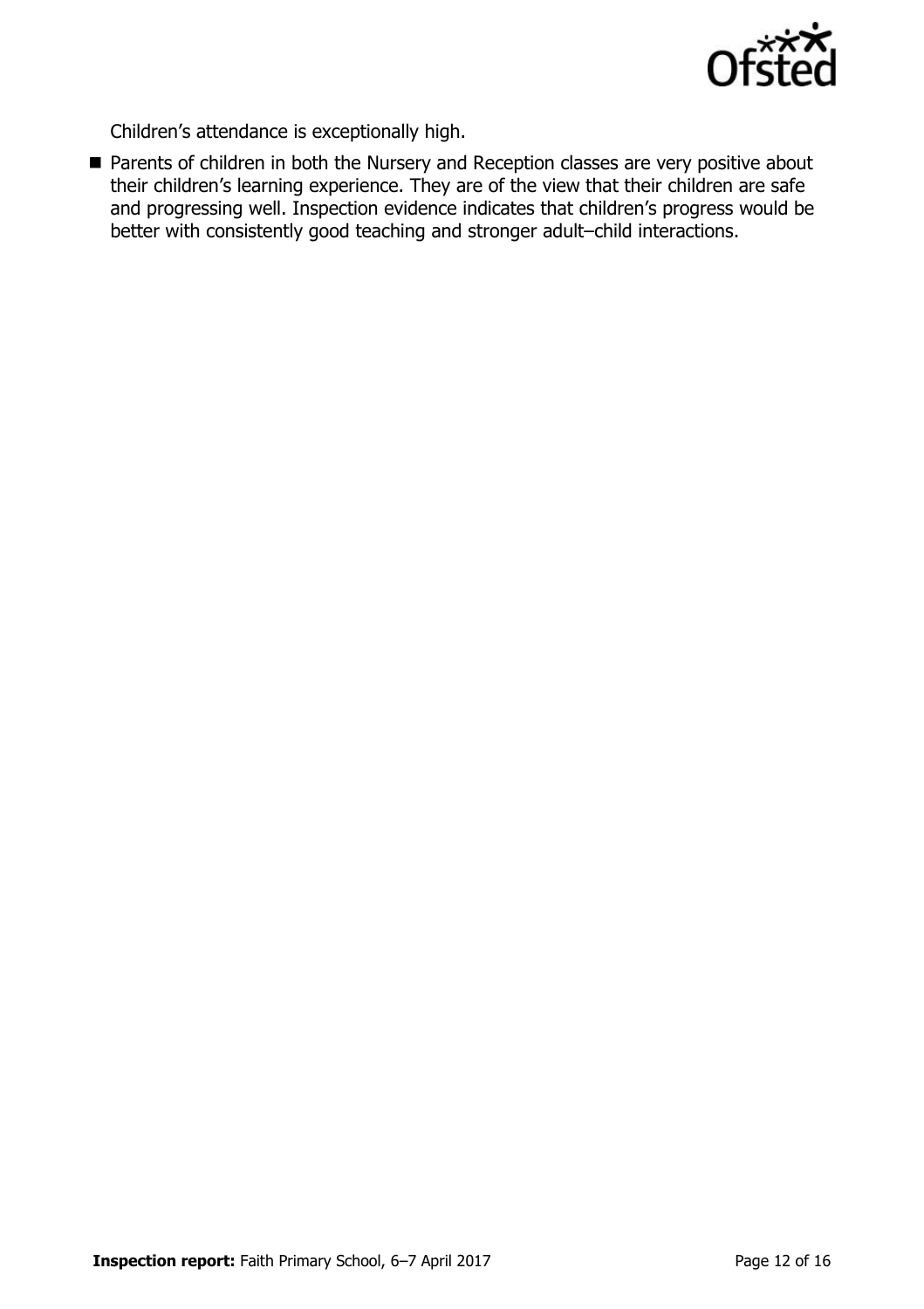

Children's attendance is exceptionally high.

**Parents of children in both the Nursery and Reception classes are very positive about** their children's learning experience. They are of the view that their children are safe and progressing well. Inspection evidence indicates that children's progress would be better with consistently good teaching and stronger adult–child interactions.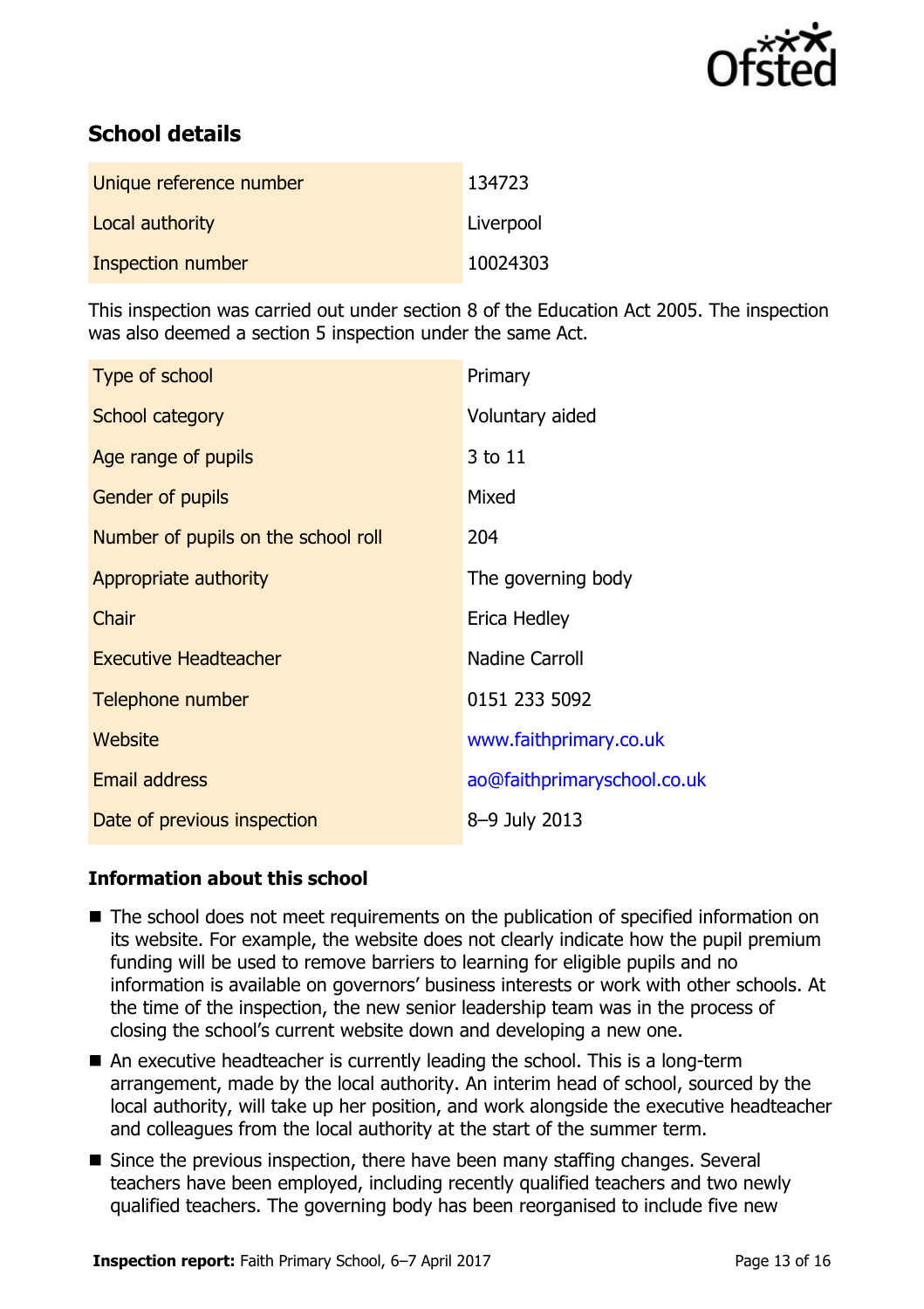

# **School details**

| Unique reference number | 134723    |
|-------------------------|-----------|
| Local authority         | Liverpool |
| Inspection number       | 10024303  |

This inspection was carried out under section 8 of the Education Act 2005. The inspection was also deemed a section 5 inspection under the same Act.

| Type of school                      | Primary                     |
|-------------------------------------|-----------------------------|
| School category                     | Voluntary aided             |
| Age range of pupils                 | 3 to 11                     |
| <b>Gender of pupils</b>             | Mixed                       |
| Number of pupils on the school roll | 204                         |
| Appropriate authority               | The governing body          |
| Chair                               | Erica Hedley                |
| <b>Executive Headteacher</b>        | <b>Nadine Carroll</b>       |
| Telephone number                    | 0151 233 5092               |
| Website                             | www.faithprimary.co.uk      |
| <b>Email address</b>                | ao@faithprimaryschool.co.uk |
| Date of previous inspection         | 8-9 July 2013               |

### **Information about this school**

- The school does not meet requirements on the publication of specified information on its website. For example, the website does not clearly indicate how the pupil premium funding will be used to remove barriers to learning for eligible pupils and no information is available on governors' business interests or work with other schools. At the time of the inspection, the new senior leadership team was in the process of closing the school's current website down and developing a new one.
- An executive headteacher is currently leading the school. This is a long-term arrangement, made by the local authority. An interim head of school, sourced by the local authority, will take up her position, and work alongside the executive headteacher and colleagues from the local authority at the start of the summer term.
- Since the previous inspection, there have been many staffing changes. Several teachers have been employed, including recently qualified teachers and two newly qualified teachers. The governing body has been reorganised to include five new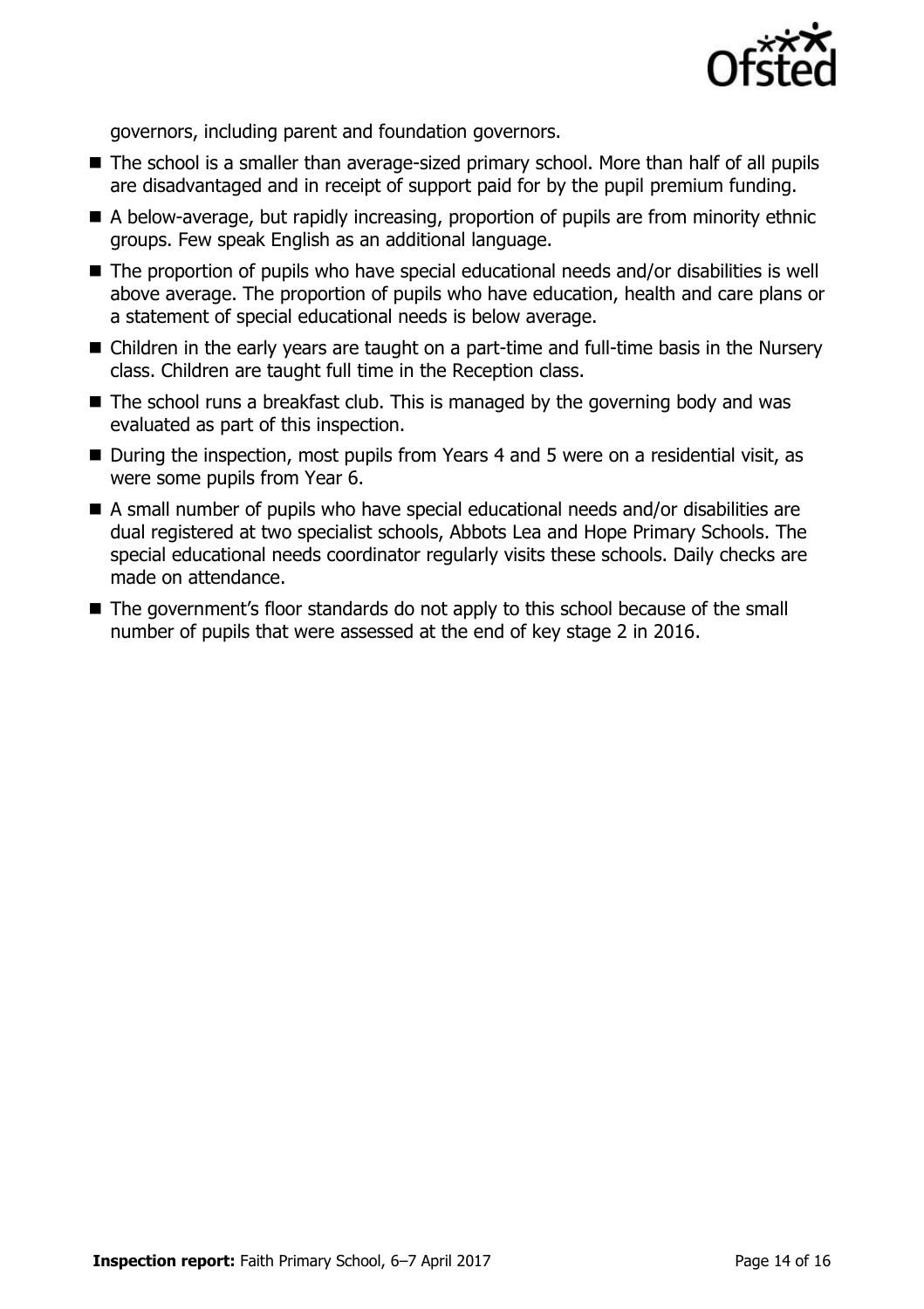

governors, including parent and foundation governors.

- The school is a smaller than average-sized primary school. More than half of all pupils are disadvantaged and in receipt of support paid for by the pupil premium funding.
- A below-average, but rapidly increasing, proportion of pupils are from minority ethnic groups. Few speak English as an additional language.
- The proportion of pupils who have special educational needs and/or disabilities is well above average. The proportion of pupils who have education, health and care plans or a statement of special educational needs is below average.
- Children in the early years are taught on a part-time and full-time basis in the Nursery class. Children are taught full time in the Reception class.
- $\blacksquare$  The school runs a breakfast club. This is managed by the governing body and was evaluated as part of this inspection.
- During the inspection, most pupils from Years 4 and 5 were on a residential visit, as were some pupils from Year 6.
- A small number of pupils who have special educational needs and/or disabilities are dual registered at two specialist schools, Abbots Lea and Hope Primary Schools. The special educational needs coordinator regularly visits these schools. Daily checks are made on attendance.
- The government's floor standards do not apply to this school because of the small number of pupils that were assessed at the end of key stage 2 in 2016.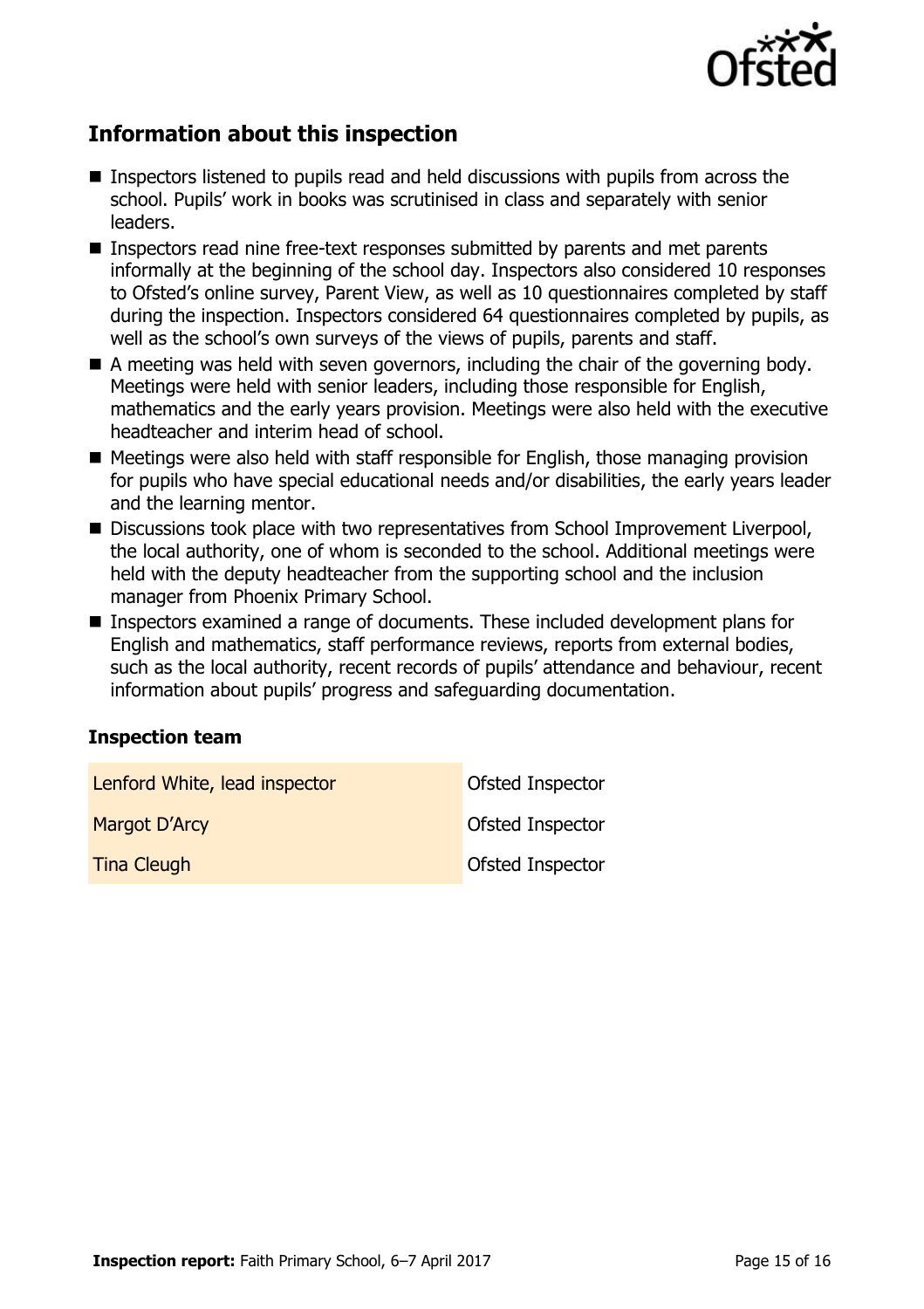

# **Information about this inspection**

- Inspectors listened to pupils read and held discussions with pupils from across the school. Pupils' work in books was scrutinised in class and separately with senior leaders.
- Inspectors read nine free-text responses submitted by parents and met parents informally at the beginning of the school day. Inspectors also considered 10 responses to Ofsted's online survey, Parent View, as well as 10 questionnaires completed by staff during the inspection. Inspectors considered 64 questionnaires completed by pupils, as well as the school's own surveys of the views of pupils, parents and staff.
- A meeting was held with seven governors, including the chair of the governing body. Meetings were held with senior leaders, including those responsible for English, mathematics and the early years provision. Meetings were also held with the executive headteacher and interim head of school.
- $\blacksquare$  Meetings were also held with staff responsible for English, those managing provision for pupils who have special educational needs and/or disabilities, the early years leader and the learning mentor.
- Discussions took place with two representatives from School Improvement Liverpool, the local authority, one of whom is seconded to the school. Additional meetings were held with the deputy headteacher from the supporting school and the inclusion manager from Phoenix Primary School.
- Inspectors examined a range of documents. These included development plans for English and mathematics, staff performance reviews, reports from external bodies, such as the local authority, recent records of pupils' attendance and behaviour, recent information about pupils' progress and safeguarding documentation.

#### **Inspection team**

| Lenford White, lead inspector | Ofsted Inspector        |
|-------------------------------|-------------------------|
| Margot D'Arcy                 | Ofsted Inspector        |
| <b>Tina Cleugh</b>            | <b>Ofsted Inspector</b> |